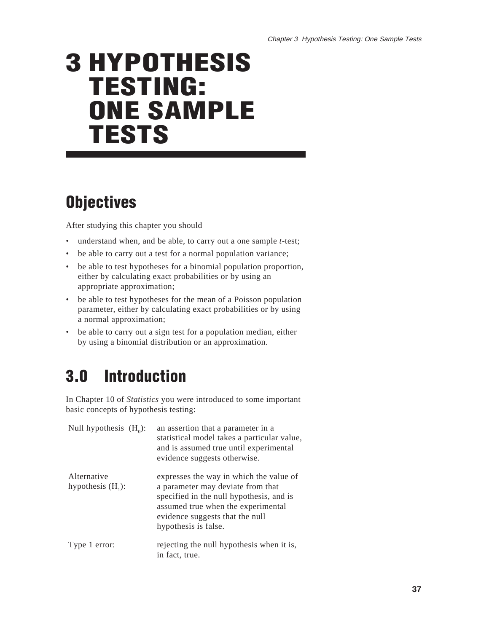# **3 HYPOTHESIS TESTING: ONE SAMPLE TESTS**

# **Objectives**

After studying this chapter you should

- understand when, and be able, to carry out a one sample *t*-test;
- be able to carry out a test for a normal population variance;
- be able to test hypotheses for a binomial population proportion, either by calculating exact probabilities or by using an appropriate approximation;
- be able to test hypotheses for the mean of a Poisson population parameter, either by calculating exact probabilities or by using a normal approximation;
- be able to carry out a sign test for a population median, either by using a binomial distribution or an approximation.

# **3.0 Introduction**

In Chapter 10 of *Statistics* you were introduced to some important basic concepts of hypothesis testing:

| Null hypothesis $(H_0)$ :           | an assertion that a parameter in a<br>statistical model takes a particular value,<br>and is assumed true until experimental<br>evidence suggests otherwise.                                                               |
|-------------------------------------|---------------------------------------------------------------------------------------------------------------------------------------------------------------------------------------------------------------------------|
| Alternative<br>hypothesis $(H_1)$ : | expresses the way in which the value of<br>a parameter may deviate from that<br>specified in the null hypothesis, and is<br>assumed true when the experimental<br>evidence suggests that the null<br>hypothesis is false. |
| Type 1 error:                       | rejecting the null hypothesis when it is,<br>in fact, true.                                                                                                                                                               |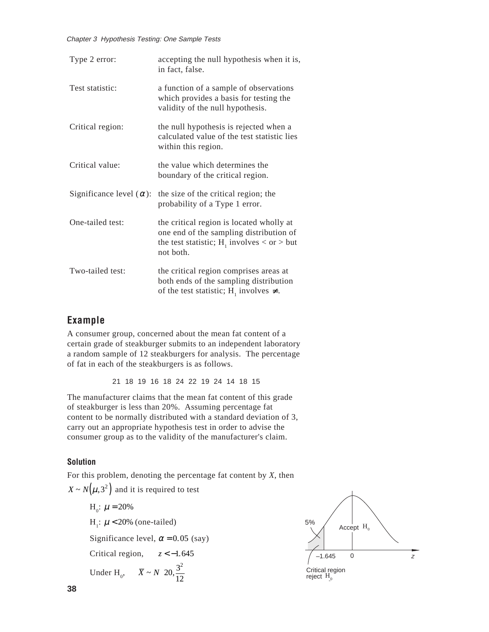| Chapter 3 Hypothesis Testing: One Sample Tests<br>Type 2 error:                        | accepting the null hypothesis when it is,                                                                                                                                                                                                                           |
|----------------------------------------------------------------------------------------|---------------------------------------------------------------------------------------------------------------------------------------------------------------------------------------------------------------------------------------------------------------------|
| Test statistic:                                                                        | in fact, false.<br>a function of a sample of observations<br>which provides a basis for testing the                                                                                                                                                                 |
| Critical region:                                                                       | validity of the null hypothesis.<br>the null hypothesis is rejected when a<br>calculated value of the test statistic lies                                                                                                                                           |
| Critical value:                                                                        | within this region.<br>the value which determines the                                                                                                                                                                                                               |
| Significance level $(\alpha)$ :                                                        | boundary of the critical region.<br>the size of the critical region; the<br>probability of a Type 1 error.                                                                                                                                                          |
| One-tailed test:                                                                       | the critical region is located wholly at<br>one end of the sampling distribution of<br>the test statistic; $H_1$ involves < or > but                                                                                                                                |
| Two-tailed test:                                                                       | not both.<br>the critical region comprises areas at<br>both ends of the sampling distribution<br>of the test statistic; H <sub>1</sub> involves $\neq$ .                                                                                                            |
| Example<br>of fat in each of the steakburgers is as follows.                           | A consumer group, concerned about the mean fat content of a<br>certain grade of steakburger submits to an independent laboratory<br>a random sample of 12 steakburgers for analysis. The percentage                                                                 |
|                                                                                        | 21 18 19 16 18 24 22 19 24 14 18 15<br>The manufacturer claims that the mean fat content of this grade                                                                                                                                                              |
|                                                                                        | of steakburger is less than 20%. Assuming percentage fat<br>content to be normally distributed with a standard deviation of 3,<br>carry out an appropriate hypothesis test in order to advise the<br>consumer group as to the validity of the manufacturer's claim. |
| <b>Solution</b>                                                                        | For this problem, denoting the percentage fat content by $X$ , then                                                                                                                                                                                                 |
| $X \sim N(\mu, 3^2)$ and it is required to test<br>$H_0$ : $\mu = 20\%$                |                                                                                                                                                                                                                                                                     |
| H <sub>1</sub> : $\mu$ < 20% (one-tailed)<br>Significance level, $\alpha$ = 0.05 (say) |                                                                                                                                                                                                                                                                     |
| Critical region, $z < -1.645$                                                          |                                                                                                                                                                                                                                                                     |

#### **Example**

#### **Solution**

 $X \sim N(\mu, 3^2)$  and it is required to test  $H_0$ :  $\mu = 20\%$  $H_1$ :  $\mu$  < 20% (one-tailed) Significance level,  $\alpha$  = 0.05 (say) Critical region, *z* < −1.645 Under H<sub>0</sub>,  $\bar{X} \sim N \left( 20, \frac{3^2}{12} \right)$ ſ  $\left(20,\frac{3^2}{12}\right)$ 

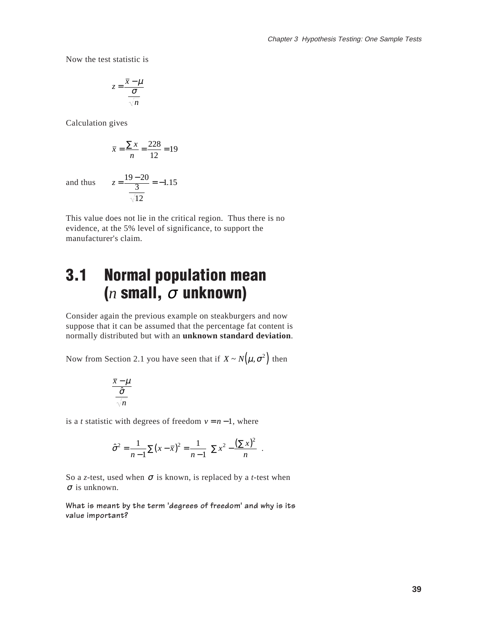Now the test statistic is

$$
z = \frac{\overline{x} - \mu}{\frac{\sigma}{\sqrt{n}}}
$$

Calculation gives

$$
\bar{x} = \frac{\sum x}{n} = \frac{228}{12} = 19
$$

and thus

$$
z = \frac{19 - 20}{\frac{3}{\sqrt{12}}} = -1.15
$$

This value does not lie in the critical region. Thus there is no evidence, at the 5% level of significance, to support the manufacturer's claim.

# **3.1 Normal population mean (***n* **small,**  <sup>σ</sup> **unknown)**

Consider again the previous example on steakburgers and now suppose that it can be assumed that the percentage fat content is normally distributed but with an **unknown standard deviation**.

Now from Section 2.1 you have seen that if  $X \sim N(\mu, \sigma^2)$  then

$$
\frac{\overline{x} - \mu}{\frac{\hat{\sigma}}{\sqrt{n}}}
$$

is a *t* statistic with degrees of freedom  $v = n - 1$ , where

$$
\hat{\sigma}^2 = \frac{1}{n-1} \sum (x - \bar{x})^2 = \frac{1}{n-1} \left[ \sum x^2 - \frac{(\sum x)^2}{n} \right].
$$

So a *z*-test, used when <sup>σ</sup> is known, is replaced by a *t*-test when  $\sigma$  is unknown.

**What is meant by the term 'degrees of freedom' and why is its value important?**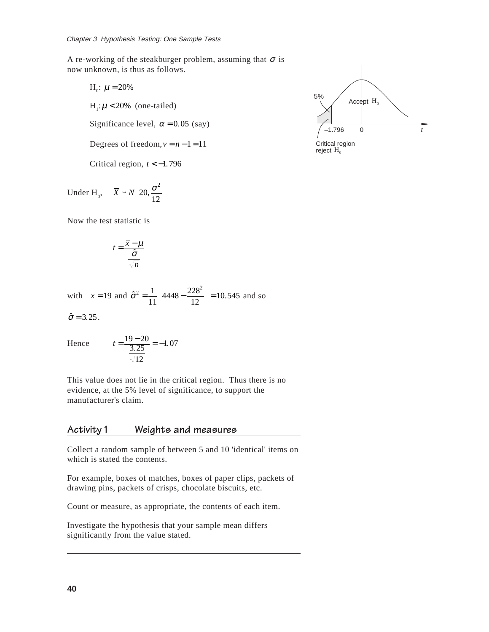A re-working of the steakburger problem, assuming that  $\sigma$  is now unknown, is thus as follows.

\n- *er 3 Hypothesis Testing: One Sample Tes* working of the steakburger problem, unknown, is thus as follows.
\n- $$
H_0: \mu = 20\%
$$
\n- $H_1: \mu < 20\%$  (one-tailed)
\n- Significance level,  $\alpha = 0.05$  (say)
\n- Degrees of freedom,  $v = n - 1 = 11$
\n

Critical region,  $t < -1.796$ 

Chapter 3 Hypothesis Testing: O.  
\nA re-worlditys (2004)  
\nA re-worlditys (2004)  
\nA, i. 
$$
\mu
$$
 = 20%  
\nA, i.  $\mu$  = 20% (one-tailed  
\nSignificance level,  $\alpha$  =  
\nDegrees of freedom,  $\nu$  =  
\nCritical region,  $t < -1$ .  
\nUnder H<sub>0</sub>,  $\overline{X} \sim N\left(20, \frac{\sigma^2}{12}\right)$   
\nNow the test statistic is  
\n
$$
t = \frac{\overline{x} - \mu}{\frac{\hat{\sigma}}{\sqrt{n}}}
$$
\nwith  $\overline{x} = 19$  and  $\hat{\sigma}^2 = \frac{1}{14} \left(44\right)$ 

Now the test statistic is

$$
t = \frac{\overline{x} - \mu}{\frac{\hat{\sigma}}{\sqrt{n}}}
$$

with 
$$
\bar{x} = 19
$$
 and  $\hat{\sigma}^2 = \frac{1}{11} \left( 4448 - \frac{228^2}{12} \right) = 10.545$  and so

 $\hat{\sigma} = 3.25$ .

Hence 
$$
t = \frac{19 - 20}{\frac{3.25}{\sqrt{12}}} = -1.07
$$

This value does not lie in the critical region. Thus there is no evidence, at the 5% level of significance, to support the manufacturer's claim.

#### **Activity 1 Weights and measures**

Collect a random sample of between 5 and 10 'identical' items on which is stated the contents.

For example, boxes of matches, boxes of paper clips, packets of drawing pins, packets of crisps, chocolate biscuits, etc.

Count or measure, as appropriate, the contents of each item.

Investigate the hypothesis that your sample mean differs significantly from the value stated.

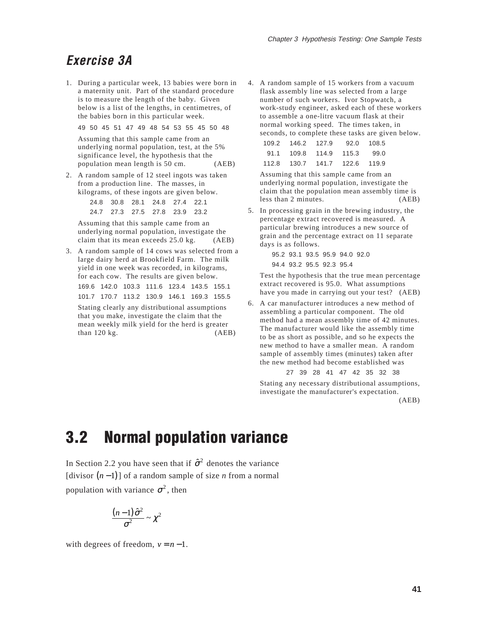### **Exercise 3A**

1. During a particular week, 13 babies were born in a maternity unit. Part of the standard procedure is to measure the length of the baby. Given below is a list of the lengths, in centimetres, of the babies born in this particular week.

49 50 45 51 47 49 48 54 53 55 45 50 48

Assuming that this sample came from an underlying normal population, test, at the 5% significance level, the hypothesis that the population mean length is 50 cm. (AEB)

2. A random sample of 12 steel ingots was taken from a production line. The masses, in kilograms, of these ingots are given below.

> 24.8 30.8 28.1 24.8 27.4 22.1 24.7 27.3 27.5 27.8 23.9 23.2

Assuming that this sample came from an underlying normal population, investigate the claim that its mean exceeds 25.0 kg. (AEB)

3. A random sample of 14 cows was selected from a large dairy herd at Brookfield Farm. The milk yield in one week was recorded, in kilograms, for each cow. The results are given below. 169.6 142.0 103.3 111.6 123.4 143.5 155.1 101.7 170.7 113.2 130.9 146.1 169.3 155.5

Stating clearly any distributional assumptions that you make, investigate the claim that the mean weekly milk yield for the herd is greater  $than 120 kg.$  (AEB) 4. A random sample of 15 workers from a vacuum flask assembly line was selected from a large number of such workers. Ivor Stopwatch, a work-study engineer, asked each of these workers to assemble a one-litre vacuum flask at their normal working speed. The times taken, in seconds, to complete these tasks are given below.

|                               |  | 92.0 108.5 |
|-------------------------------|--|------------|
| 91.1 109.8 114.9 115.3 99.0   |  |            |
| 112.8 130.7 141.7 122.6 119.9 |  |            |

Assuming that this sample came from an underlying normal population, investigate the claim that the population mean assembly time is less than 2 minutes. (AEB)

5. In processing grain in the brewing industry, the percentage extract recovered is measured. A particular brewing introduces a new source of grain and the percentage extract on 11 separate days is as follows.

> 95.2 93.1 93.5 95.9 94.0 92.0 94.4 93.2 95.5 92.3 95.4

Test the hypothesis that the true mean percentage extract recovered is 95.0. What assumptions have you made in carrying out your test? (AEB)

6. A car manufacturer introduces a new method of assembling a particular component. The old method had a mean assembly time of 42 minutes. The manufacturer would like the assembly time to be as short as possible, and so he expects the new method to have a smaller mean. A random sample of assembly times (minutes) taken after the new method had become established was

27 39 28 41 47 42 35 32 38

Stating any necessary distributional assumptions, investigate the manufacturer's expectation.

(AEB)

## **3.2 Normal population variance**

In Section 2.2 you have seen that if  $\hat{\sigma}^2$  denotes the variance  $[divisor (n-1)]$  of a random sample of size *n* from a normal population with variance  $\sigma^2$ , then

$$
\frac{(n-1)\hat{\sigma}^2}{\sigma^2}\sim\chi^2
$$

with degrees of freedom,  $v = n - 1$ .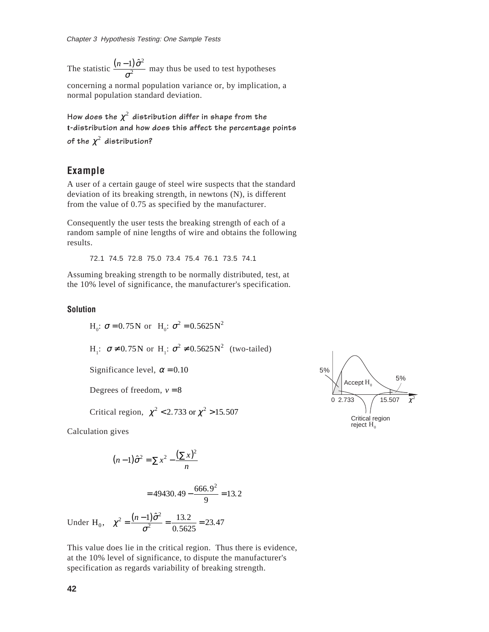Chapter 3 Hype<br>The statistic  $(n-1) \hat{\sigma}^2$  $\frac{1}{\sigma^2}$  may thus be used to test hypotheses concerning a normal population variance or, by implication, a normal population standard deviation.

How does the  $\chi^2$  distribution differ in shape from the **t-distribution and how does this affect the percentage points** of the  $\chi^2$  distribution?

#### **Example**

A user of a certain gauge of steel wire suspects that the standard deviation of its breaking strength, in newtons (N), is different from the value of 0.75 as specified by the manufacturer.

Consequently the user tests the breaking strength of each of a random sample of nine lengths of wire and obtains the following results.

72.1 74.5 72.8 75.0 73.4 75.4 76.1 73.5 74.1

Assuming breaking strength to be normally distributed, test, at the 10% level of significance, the manufacturer's specification.

**Solution**

 $H_0$ : **σ** = 0.75 N or  $H_0$ : **σ**<sup>2</sup> = 0.5625 N<sup>2</sup>  $H<sub>1</sub>: σ ≠ 0.75N or H<sub>1</sub>: σ<sup>2</sup> ≠ 0.5625N<sup>2</sup>$  (two-tailed) Significance level,  $\alpha = 0.10$ Degrees of freedom,  $v = 8$ Critical region,  $\chi^2$  < 2.733 or  $\chi^2$  > 15.507 3 Hype<br>tistic  $\frac{1}{2}$ <br>tistic  $\frac{1}{2}$ <br>ining a<br>popul<br> $\cos t$  the intervalse the<br>intervalse of a certic of a certic of a certic of it<br>is amplemently<br> $\frac{1}{2}$ .1  $\frac{1}{2}$ <br> $\frac{1}{2}$  is  $\frac{1}{2}$ <br> $\frac{1}{2}$  is  $\frac{1}{2}$ <br> $\frac{1$ 

Calculation gives

$$
(n-1)\hat{\sigma}^2 = \sum x^2 - \frac{(\sum x)^2}{n}
$$

$$
=49430.49 - \frac{666.9^2}{9} = 13.2
$$

Under H<sub>0</sub>,  $\chi^2 = \frac{(n-1)\hat{\sigma}^2}{\sigma^2} = \frac{13.2}{0.5625} = 23.47$ 

This value does lie in the critical region. Thus there is evidence, at the 10% level of significance, to dispute the manufacturer's specification as regards variability of breaking strength.

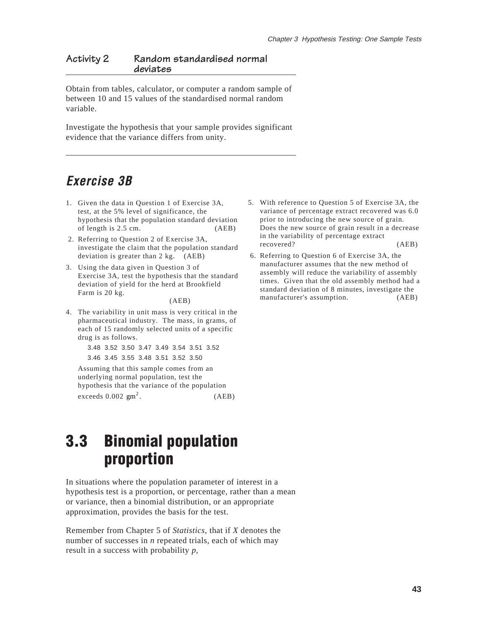#### **Activity 2 Random standardised normal deviates**

Obtain from tables, calculator, or computer a random sample of between 10 and 15 values of the standardised normal random variable.

Investigate the hypothesis that your sample provides significant evidence that the variance differs from unity.

### **Exercise 3B**

- 1. Given the data in Question 1 of Exercise 3A, test, at the 5% level of significance, the hypothesis that the population standard deviation of length is 2.5 cm. (AEB)
- 2. Referring to Question 2 of Exercise 3A, investigate the claim that the population standard deviation is greater than 2 kg. (AEB)
- 3. Using the data given in Question 3 of Exercise 3A, test the hypothesis that the standard deviation of yield for the herd at Brookfield Farm is 20 kg.

(AEB)

4. The variability in unit mass is very critical in the pharmaceutical industry. The mass, in grams, of each of 15 randomly selected units of a specific drug is as follows.

> 3.48 3.52 3.50 3.47 3.49 3.54 3.51 3.52 3.46 3.45 3.55 3.48 3.51 3.52 3.50

Assuming that this sample comes from an underlying normal population, test the hypothesis that the variance of the population exceeds  $0.002$  gm<sup>2</sup>.  $(AEB)$ 

### **3.3 Binomial population proportion**

In situations where the population parameter of interest in a hypothesis test is a proportion, or percentage, rather than a mean or variance, then a binomial distribution, or an appropriate approximation, provides the basis for the test.

Remember from Chapter 5 of *Statistics*, that if *X* denotes the number of successes in *n* repeated trials, each of which may result in a success with probability *p*,

- 5. With reference to Question 5 of Exercise 3A, the variance of percentage extract recovered was 6.0 prior to introducing the new source of grain. Does the new source of grain result in a decrease in the variability of percentage extract recovered? (AEB)
- 6. Referring to Question 6 of Exercise 3A, the manufacturer assumes that the new method of assembly will reduce the variability of assembly times. Given that the old assembly method had a standard deviation of 8 minutes, investigate the manufacturer's assumption. (AEB)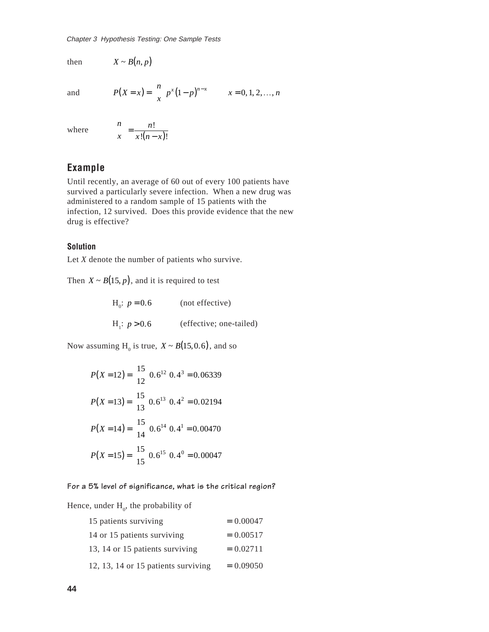Chapter 3 Hype<br>then  $X \sim B(n, p)$ then

and

$$
P(X = x) = {n \choose x} p^{x} (1-p)^{n-x} \qquad x = 0, 1, 2, ..., n
$$

where

$$
\binom{n}{x} = \frac{n!}{x!(n-x)!}
$$

#### **Example**

Until recently, an average of 60 out of every 100 patients have survived a particularly severe infection. When a new drug was administered to a random sample of 15 patients with the infection, 12 survived. Does this provide evidence that the new drug is effective?

#### **Solution**

Let *X* denote the number of patients who survive.

Then  $X \sim B(15, p)$ , and it is required to test

| $H_0$ : $p = 0.6$ | (not effective)         |
|-------------------|-------------------------|
| $H_i$ : $p > 0.6$ | (effective; one-tailed) |

Now assuming  $H_0$  is true,  $X \sim B(15, 0.6)$ , and so

r3 Hypothesis Testing: One Sample Tests  
\n
$$
X \sim B(n, p)
$$
  
\n $P(X = x) = {n \choose x} p^x (1-p)^{n-x}$   $x = 0, 1, 2,$   
\n ${n \choose x} = \frac{n!}{x!(n-x)!}$   
\n**pple**  
\nrecently, an average of 60 out of every 100 patient  
\ned a particularly severe infection. When a new distered to a random sample of 15 patients with the  
\nion, 12 survived. Does this provide evidence that  
\nse effective?  
\n**on**  
\ndenote the number of patients who survive.  
\n $X \sim B(15, p)$ , and it is required to test  
\n $H_0: p = 0.6$  (not effective)  
\n $H_1: p > 0.6$  (effective; one-tailed)  
\nassuming  $H_0$  is true,  $X \sim B(15, 0.6)$ , and so  
\n $P(X = 12) = {15 \choose 12} 0.6^{12} 0.4^3 = 0.06339$   
\n $P(X = 13) = {15 \choose 13} 0.6^{13} 0.4^2 = 0.02194$   
\n $P(X = 13) = {15 \choose 13} 0.6^{13} 0.4^2 = 0.00470$   
\n $P(X = 15) = {15 \choose 15} 0.6^{15} 0.4^0 = 0.00047$   
\n5% level of significance, what is the critical regi  
\n*i*, under  $H_0$ , the probability of  
\n15 patients surviving = 0.00047  
\n13, 14 or 15 patients surviving = 0.02711  
\n12, 13, 14 or 15 patients surviving = 0.09050

**For a 5% level of significance, what is the critical region?**

Hence, under  $H_0$ , the probability of

| 15 patients surviving               | $= 0.00047$ |
|-------------------------------------|-------------|
| 14 or 15 patients surviving         | $= 0.00517$ |
| 13, 14 or 15 patients surviving     | $= 0.02711$ |
| 12, 13, 14 or 15 patients surviving | $= 0.09050$ |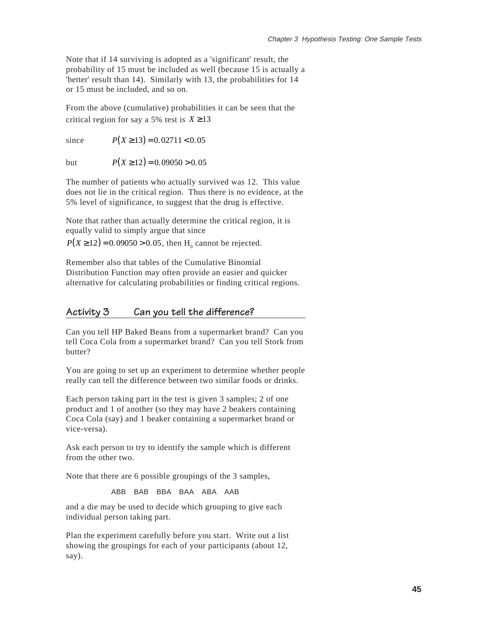Note that if 14 surviving is adopted as a 'significant' result, the probability of 15 must be included as well (because 15 is actually a 'better' result than 14). Similarly with 13, the probabilities for 14 or 15 must be included, and so on. Note that if 1<br>probability of<br>"better" result<br>or 15 must be<br>From the abo<br>critical region<br>since Note that if 1<br>probability of<br>"better" result<br>or 15 must be<br>From the abo<br>critical regior<br>since<br>but

From the above (cumulative) probabilities it can be seen that the critical region for say a 5% test is  $X \ge 13$ 

since  $P(X \geq 13) = 0.02711 < 0.05$ 

but  $P(X \ge 12) = 0.09050 > 0.05$ 

The number of patients who actually survived was 12. This value does not lie in the critical region. Thus there is no evidence, at the 5% level of significance, to suggest that the drug is effective.

Note that rather than actually determine the critical region, it is equally valid to simply argue that since

 $P(X \ge 12) = 0.09050 > 0.05$ , then H<sub>0</sub> cannot be rejected.

Remember also that tables of the Cumulative Binomial Distribution Function may often provide an easier and quicker alternative for calculating probabilities or finding critical regions.

#### **Activity 3 Can you tell the difference?**

Can you tell HP Baked Beans from a supermarket brand? Can you tell Coca Cola from a supermarket brand? Can you tell Stork from butter?

You are going to set up an experiment to determine whether people really can tell the difference between two similar foods or drinks.

Each person taking part in the test is given 3 samples; 2 of one product and 1 of another (so they may have 2 beakers containing Coca Cola (say) and 1 beaker containing a supermarket brand or vice-versa).

Ask each person to try to identify the sample which is different from the other two.

Note that there are 6 possible groupings of the 3 samples,

ABB BAB BBA BAA ABA AAB

and a die may be used to decide which grouping to give each individual person taking part.

Plan the experiment carefully before you start. Write out a list showing the groupings for each of your participants (about 12, say).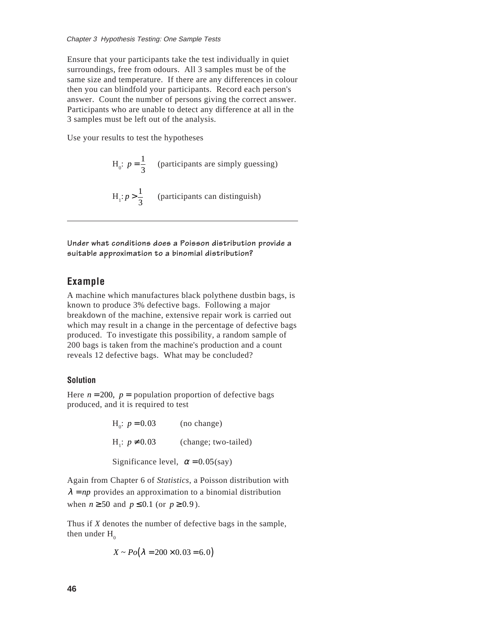Ensure that your participants take the test individually in quiet surroundings, free from odours. All 3 samples must be of the same size and temperature. If there are any differences in colour then you can blindfold your participants. Record each person's answer. Count the number of persons giving the correct answer. Participants who are unable to detect any difference at all in the 3 samples must be left out of the analysis. *n* 3 *Hypoti*<br> *n* dings, f<br> *n* is the that you<br> *nou* can bind<br> *nou* can bind<br> *nou* result<br> *nour* result<br> *H*,<br> *n*<br> *n*<br> *n*<br> *n*<br> *no*<br> *no*<br> *no*<br> *no*<br> *no*<br> *no*<br> *no*<br> *no*<br> *no*<br> *no*<br> *no*<br> *no*<br> *no*<br> *no*<br>

Use your results to test the hypotheses

 $H_0$ :  $p = \frac{1}{3}$  (participants are simply guessing)  $H_1$ :  $p > \frac{1}{3}$  (participants can distinguish)

**Under what conditions does a Poisson distribution provide a suitable approximation to a binomial distribution?**

#### **Example**

A machine which manufactures black polythene dustbin bags, is known to produce 3% defective bags. Following a major breakdown of the machine, extensive repair work is carried out which may result in a change in the percentage of defective bags produced. To investigate this possibility, a random sample of 200 bags is taken from the machine's production and a count reveals 12 defective bags. What may be concluded?

#### **Solution**

Here  $n = 200$ ,  $p =$  population proportion of defective bags produced, and it is required to test

> $H_0: p = 0.03$  (no change)  $H_1$ :  $p \neq 0.03$  (change; two-tailed) Significance level,  $\alpha = 0.05$ (say)

Again from Chapter 6 of *Statistics*, a Poisson distribution with  $\lambda = np$  provides an approximation to a binomial distribution when  $n \ge 50$  and  $p \le 0.1$  (or  $p \ge 0.9$ ).

Thus if *X* denotes the number of defective bags in the sample, then under  $H_0$ 

$$
X \sim Po(\lambda = 200 \times 0.03 = 6.0)
$$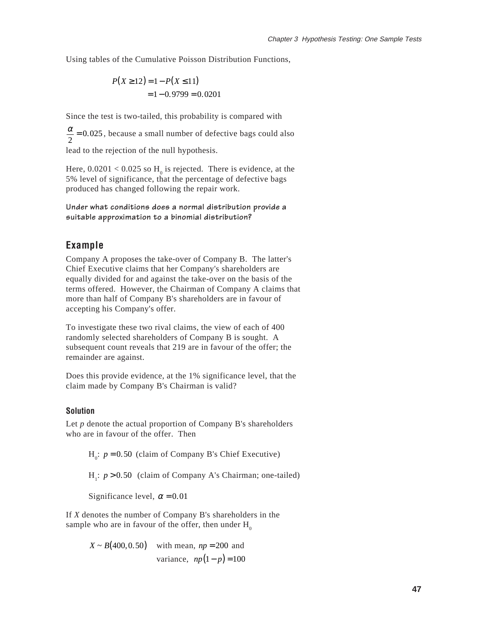Using tables of the Cumulative Poisson Distribution Functions,

$$
P(X \ge 12) = 1 - P(X \le 11)
$$
  
= 1 - 0.9799 = 0.0201

Since the test is two-tailed, this probability is compared with

 $\frac{\alpha}{2}$  = 0.025, because a small number of defective bags could also

lead to the rejection of the null hypothesis.

Here,  $0.0201 < 0.025$  so  $H_0$  is rejected. There is evidence, at the 5% level of significance, that the percentage of defective bags produced has changed following the repair work.

**Under what conditions does a normal distribution provide a suitable approximation to a binomial distribution?**

#### **Example**

Company A proposes the take-over of Company B. The latter's Chief Executive claims that her Company's shareholders are equally divided for and against the take-over on the basis of the terms offered. However, the Chairman of Company A claims that more than half of Company B's shareholders are in favour of accepting his Company's offer.

To investigate these two rival claims, the view of each of 400 randomly selected shareholders of Company B is sought. A subsequent count reveals that 219 are in favour of the offer; the remainder are against.

Does this provide evidence, at the 1% significance level, that the claim made by Company B's Chairman is valid?

#### **Solution**

Let *p* denote the actual proportion of Company B's shareholders who are in favour of the offer. Then

 $H_0$ :  $p = 0.50$  (claim of Company B's Chief Executive)

H<sub>1</sub>:  $p > 0.50$  (claim of Company A's Chairman; one-tailed)

Significance level,  $\alpha = 0.01$ 

If *X* denotes the number of Company B's shareholders in the sample who are in favour of the offer, then under  $H_0$ 

> $X \sim B(400, 0.50)$  with mean,  $np = 200$  and variance,  $np(1-p) = 100$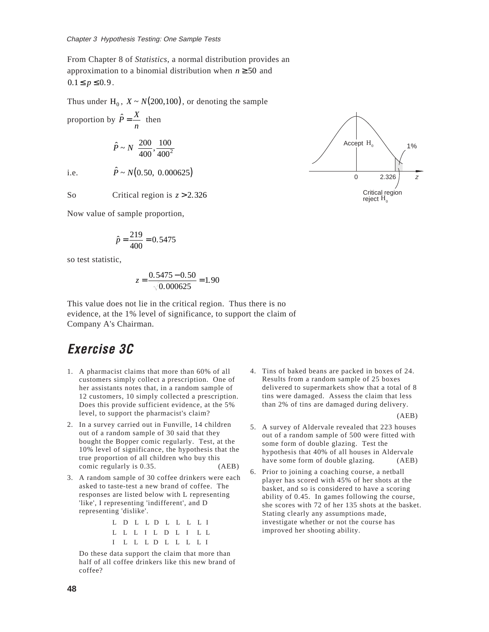From Chapter 8 of *Statistics*, a normal distribution provides an approximation to a binomial distribution when *n* ≥ 50 and  $0.1 \le p \le 0.9$ . Chapter 3 Hype<br>From Chapter<br>approximatio<br>0.1  $\leq p \leq 0.9$ .<br>Thus under H<br>proportion by<br>i.e.

Thus under  $H_0$ ,  $X \sim N(200, 100)$ , or denoting the sample

proportion by  $\hat{P} = \frac{X}{n}$  then  $\hat{P} \sim N\left(\frac{200}{400}, \frac{100}{400^2}\right)$ ſ l  $\lambda$  $\overline{)}$ 

i.e.

So Critical region is  $z > 2.326$ 

 $\hat{P} \sim N(0.50, 0.000625)$ 

Now value of sample proportion,

$$
\hat{p} = \frac{219}{400} = 0.5475
$$

so test statistic,

$$
z = \frac{0.5475 - 0.50}{\sqrt{0.000625}} = 1.90
$$

This value does not lie in the critical region. Thus there is no evidence, at the 1% level of significance, to support the claim of Company A's Chairman.

### **Exercise 3C**

- 1. A pharmacist claims that more than 60% of all customers simply collect a prescription. One of her assistants notes that, in a random sample of 12 customers, 10 simply collected a prescription. Does this provide sufficient evidence, at the 5% level, to support the pharmacist's claim?
- 2. In a survey carried out in Funville, 14 children out of a random sample of 30 said that they bought the Bopper comic regularly. Test, at the 10% level of significance, the hypothesis that the true proportion of all children who buy this comic regularly is 0.35. (AEB)
- 3. A random sample of 30 coffee drinkers were each asked to taste-test a new brand of coffee. The responses are listed below with L representing 'like', I representing 'indifferent', and D representing 'dislike'.

| L D L L D L L L L I |  |  |  |  |  |
|---------------------|--|--|--|--|--|
| L L L I L D L I L L |  |  |  |  |  |
| I L L L D L L L L I |  |  |  |  |  |

Do these data support the claim that more than half of all coffee drinkers like this new brand of coffee?

4. Tins of baked beans are packed in boxes of 24. Results from a random sample of 25 boxes delivered to supermarkets show that a total of 8 tins were damaged. Assess the claim that less than 2% of tins are damaged during delivery.

(AEB)

- 5. A survey of Aldervale revealed that 223 houses out of a random sample of 500 were fitted with some form of double glazing. Test the hypothesis that 40% of all houses in Aldervale have some form of double glazing. (AEB)
- 6. Prior to joining a coaching course, a netball player has scored with 45% of her shots at the basket, and so is considered to have a scoring ability of 0.45. In games following the course, she scores with 72 of her 135 shots at the basket. Stating clearly any assumptions made, investigate whether or not the course has improved her shooting ability.

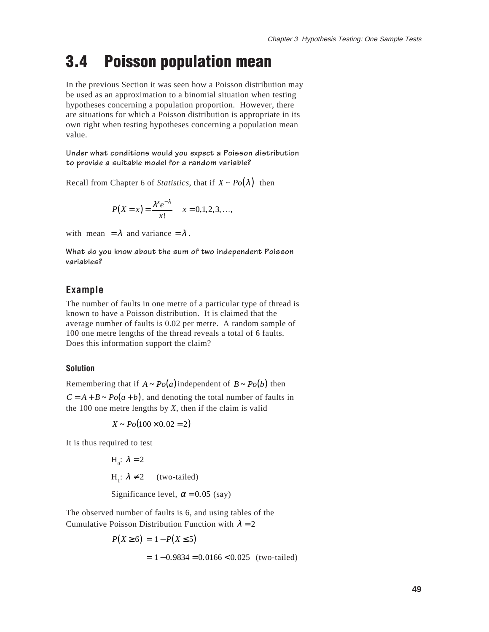## **3.4 Poisson population mean**

In the previous Section it was seen how a Poisson distribution may be used as an approximation to a binomial situation when testing hypotheses concerning a population proportion. However, there are situations for which a Poisson distribution is appropriate in its own right when testing hypotheses concerning a population mean value.

**Under what conditions would you expect a Poisson distribution to provide a suitable model for a random variable?**

Recall from Chapter 6 of *Statistics*, that if  $X \sim Po(\lambda)$  then

$$
P(X = x) = \frac{\lambda^{x} e^{-\lambda}}{x!} \quad x = 0, 1, 2, 3, ...,
$$

with mean  $= \lambda$  and variance  $= \lambda$ .

**What do you know about the sum of two independent Poisson variables?**

#### **Example**

The number of faults in one metre of a particular type of thread is known to have a Poisson distribution. It is claimed that the average number of faults is 0.02 per metre. A random sample of 100 one metre lengths of the thread reveals a total of 6 faults. Does this information support the claim?

#### **Solution**

Remembering that if  $A \sim Po(a)$  independent of  $B \sim Po(b)$  then the 100 one metre lengths by *X*, then if the claim is valid  $C = A + B \sim Po(a + b)$ , and denoting the total number of faults in

 $X \sim Po(100 \times 0.02 = 2)$ 

It is thus required to test

 $H_0$ :  $\lambda = 2$  $H_1$ :  $\lambda \neq 2$  (two-tailed) Significance level,  $\alpha = 0.05$  (say)

The observed number of faults is 6, and using tables of the Cumulative Poisson Distribution Function with  $\lambda = 2$ 

$$
P(X \ge 6) = 1 - P(X \le 5)
$$
  
= 1 - 0.9834 = 0.0166 < 0.025 (two-tailed)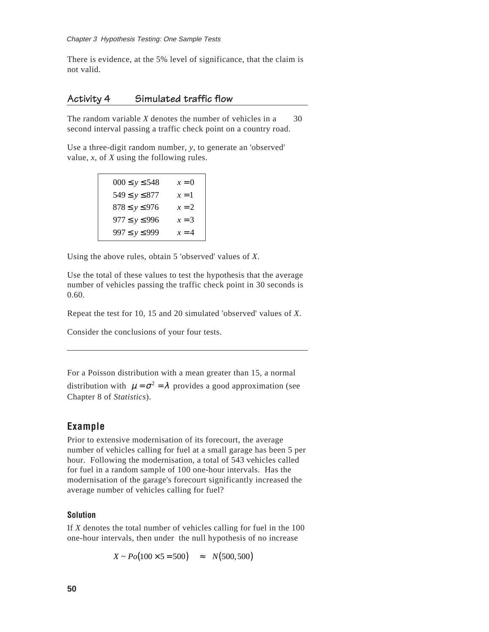There is evidence, at the 5% level of significance, that the claim is not valid.

#### **Activity 4 Simulated traffic flow**

The random variable  $X$  denotes the number of vehicles in a  $30$ second interval passing a traffic check point on a country road.

Use a three-digit random number, *y*, to generate an 'observed' value, *x*, of *X* using the following rules.

| $000 \le y \le 548$ | $x = 0$ |
|---------------------|---------|
| $549 \le y \le 877$ | $x=1$   |
| $878 \le y \le 976$ | $x = 2$ |
| $977 \le y \le 996$ | $x = 3$ |
| $997 \le y \le 999$ | $x = 4$ |

Using the above rules, obtain 5 'observed' values of *X*.

Use the total of these values to test the hypothesis that the average number of vehicles passing the traffic check point in 30 seconds is 0.60.

Repeat the test for 10, 15 and 20 simulated 'observed' values of *X*.

Consider the conclusions of your four tests.

For a Poisson distribution with a mean greater than 15, a normal

distribution with  $\mu = \sigma^2 = \lambda$  provides a good approximation (see Chapter 8 of *Statistics*).

#### **Example**

Prior to extensive modernisation of its forecourt, the average number of vehicles calling for fuel at a small garage has been 5 per hour. Following the modernisation, a total of 543 vehicles called for fuel in a random sample of 100 one-hour intervals. Has the modernisation of the garage's forecourt significantly increased the average number of vehicles calling for fuel?

#### **Solution**

If *X* denotes the total number of vehicles calling for fuel in the 100 one-hour intervals, then under the null hypothesis of no increase

 $X \sim Po(100 \times 5 = 500) \approx N(500, 500)$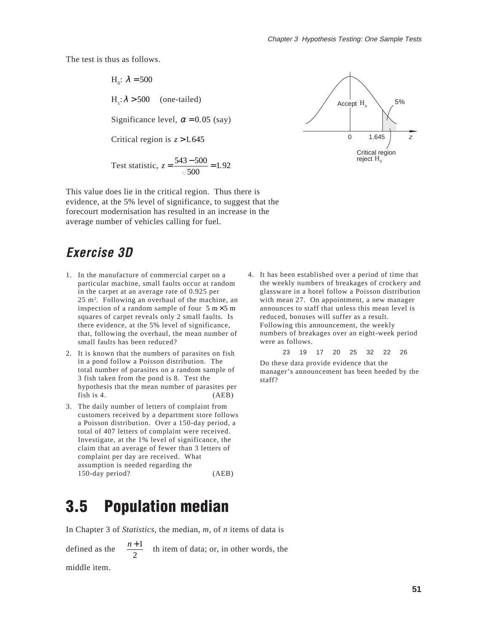The test is thus as follows.

 $H_0$ :  $\lambda = 500$  $H_1: \lambda > 500$  $\begin{bmatrix} a \\ c \\ d \end{bmatrix}$ (one-tailed) Significance level,  $\alpha = 0.05$  (say) Critical region is  $z > 1.645$ Test statistic,  $z = \frac{543 - 500}{\sqrt{500}} = 1.92$ 



This value does lie in the critical region. Thus there is evidence, at the 5% level of significance, to suggest that the forecourt modernisation has resulted in an increase in the average number of vehicles calling for fuel.

### **Exercise 3D**

- 1. In the manufacture of commercial carpet on a particular machine, small faults occur at random in the carpet at an average rate of 0.925 per 25 m2 . Following an overhaul of the machine, an inspection of a random sample of four  $5 \text{ m} \times 5 \text{ m}$ squares of carpet reveals only 2 small faults. Is there evidence, at the 5% level of significance, that, following the overhaul, the mean number of small faults has been reduced?
- 2. It is known that the numbers of parasites on fish in a pond follow a Poisson distribution. The total number of parasites on a random sample of 3 fish taken from the pond is 8. Test the hypothesis that the mean number of parasites per fish is 4. (AEB)
- 3. The daily number of letters of complaint from customers received by a department store follows a Poisson distribution. Over a 150-day period, a total of 407 letters of complaint were received. Investigate, at the 1% level of significance, the claim that an average of fewer than 3 letters of complaint per day are received. What assumption is needed regarding the 150-day period? (AEB)
- 4. It has been established over a period of time that the weekly numbers of breakages of crockery and glassware in a hotel follow a Poisson distribution with mean 27. On appointment, a new manager announces to staff that unless this mean level is reduced, bonuses will suffer as a result. Following this announcement, the weekly numbers of breakages over an eight-week period were as follows.

23 19 17 20 25 32 22 26

Do these data provide evidence that the manager's announcement has been heeded by the staff?

## **3.5 Population median**

In Chapter 3 of *Statistics*, the median, *m*, of *n* items of data is

defined as the  $\sqrt{\frac{n+1}{2}}$ 2 ſ l  $\overline{\phantom{a}}$  $\overline{1}$  $\bigg\{$  $\Bigg\}$ th item of data; or, in other words, the middle item.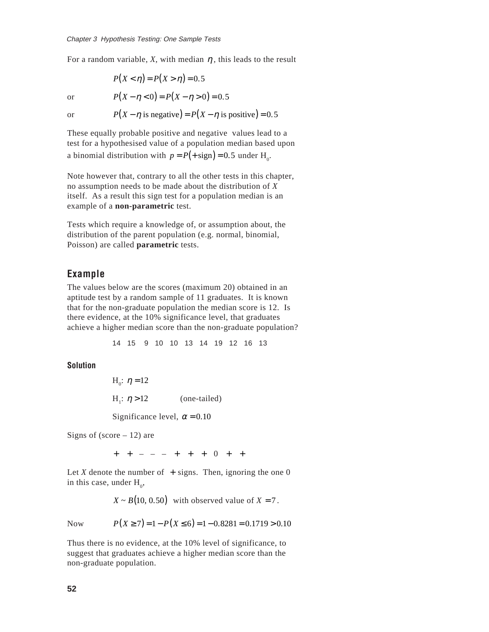For a random variable, X, with median  $\eta$ , this leads to the result Chapter 3 Hype<br>For a random<br>or

$$
P(X < \eta) = P(X > \eta) = 0.5
$$

<sub>or</sub>

 $P(X - \eta < 0) = P(X - \eta > 0) = 0.5$ 

Chapter 3 Hypothesis Testing: One Sample Tests  
For a random variable, X, with median 
$$
\eta
$$
, this leads to the r  

$$
P(X < \eta) = P(X > \eta) = 0.5
$$
  
or 
$$
P(X - \eta < 0) = P(X - \eta > 0) = 0.5
$$
  
or 
$$
P(X - \eta \text{ is negative}) = P(X - \eta \text{ is positive}) = 0.5
$$

These equally probable positive and negative values lead to a test for a hypothesised value of a population median based upon a binomial distribution with  $p = P(+sign) = 0.5$  under H<sub>0</sub>.

Note however that, contrary to all the other tests in this chapter, no assumption needs to be made about the distribution of *X* itself. As a result this sign test for a population median is an example of a **non-parametric** test.

Tests which require a knowledge of, or assumption about, the distribution of the parent population (e.g. normal, binomial, Poisson) are called **parametric** tests.

#### **Example**

The values below are the scores (maximum 20) obtained in an aptitude test by a random sample of 11 graduates. It is known that for the non-graduate population the median score is 12. Is there evidence, at the 10% significance level, that graduates achieve a higher median score than the non-graduate population? *othesis Testing: One Sample Tests*<br>
variable, *X*, with median *η*, this leads to the  $P(X < η) = P(X > η) = 0.5$ <br>  $P(X - η < 0) = P(X - η > 0) = 0.5$ <br>  $P(X - η$  is negative)  $= P(X - η$  is positive) =<br>
y probable positive and negative valu Chapter 3 Hype<br>
For a random<br>
or<br>
or<br>
Or<br>
Or<br>
Or<br>
Or<br>
These equally<br>
test for a hype<br>
a binomial di:<br>
Note however<br>
no assumption<br>
itself. As a re<br>
example of a<br>
Tests which r<br>
distribution o<br>
Poisson) are<br>
c<br> **Example**<br>
T

14 15 9 10 10 13 14 19 12 16 13

**Solution**

 $H<sub>0</sub>: η = 12$  $H_1$ : (one-tailed) Significance level,  $\alpha = 0.10$ 

Signs of (score  $-12$ ) are

+ + - - - + + + 0 + +

Let  $X$  denote the number of  $+$  signs. Then, ignoring the one  $0$ in this case, under  $H_0$ ,

 $X \sim B(10, 0.50)$  with observed value of  $X = 7$ .

**Now** 

 $P(X \ge 7) = 1 - P(X \le 6) = 1 - 0.8281 = 0.1719 > 0.10$ 

Thus there is no evidence, at the 10% level of significance, to suggest that graduates achieve a higher median score than the non-graduate population.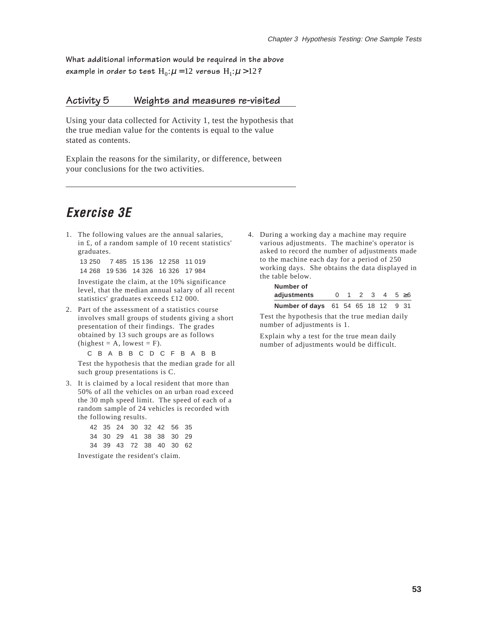**What additional information would be required in the above** example in order to test  $\text{H}_0$ : $\mu$  = 12 versus  $\text{H}_1$ : $\mu$  > 12 **?** 

#### **Activity 5 Weights and measures re-visited**

Using your data collected for Activity 1, test the hypothesis that the true median value for the contents is equal to the value stated as contents.

Explain the reasons for the similarity, or difference, between your conclusions for the two activities.

### **Exercise 3E**

1. The following values are the annual salaries, in £, of a random sample of 10 recent statistics' graduates.

13 250 7 485 15 136 12 258 11 019 14 268 19 536 14 326 16 326 17 984

Investigate the claim, at the 10% significance level, that the median annual salary of all recent statistics' graduates exceeds £12 000.

2. Part of the assessment of a statistics course involves small groups of students giving a short presentation of their findings. The grades obtained by 13 such groups are as follows  $(highest = A, lowest = F).$ 

C B A B B C D C F B A B B

Test the hypothesis that the median grade for all such group presentations is C.

3. It is claimed by a local resident that more than 50% of all the vehicles on an urban road exceed the 30 mph speed limit. The speed of each of a random sample of 24 vehicles is recorded with the following results.

|  |  | 42 35 24 30 32 42 56 35 |  |
|--|--|-------------------------|--|
|  |  | 34 30 29 41 38 38 30 29 |  |
|  |  | 34 39 43 72 38 40 30 62 |  |

Investigate the resident's claim.

4. During a working day a machine may require various adjustments. The machine's operator is asked to record the number of adjustments made to the machine each day for a period of 250 working days. She obtains the data displayed in the table below. **adjustments** 012345

| Number of                                   |    |  |  |  |                              |  |  |  |  |
|---------------------------------------------|----|--|--|--|------------------------------|--|--|--|--|
| adjustments                                 | O. |  |  |  | $1 \t2 \t3 \t4 \t5 \t\geq 6$ |  |  |  |  |
| <b>Number of days</b> 61 54 65 18 12 9 31   |    |  |  |  |                              |  |  |  |  |
| t the hynothesis that the true median daily |    |  |  |  |                              |  |  |  |  |

Test the hypothesis that the true median daily number of adjustments is 1.

Explain why a test for the true mean daily number of adjustments would be difficult.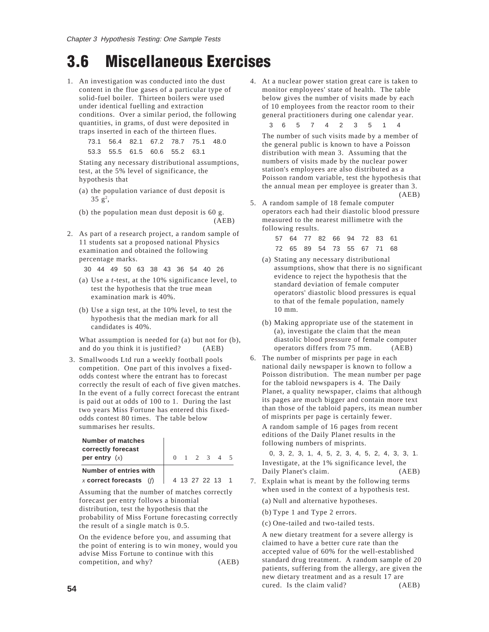# **3.6 Miscellaneous Exercises**

1. An investigation was conducted into the dust content in the flue gases of a particular type of solid-fuel boiler. Thirteen boilers were used under identical fuelling and extraction conditions. Over a similar period, the following quantities, in grams, of dust were deposited in traps inserted in each of the thirteen flues.

> 73.1 56.4 82.1 67.2 78.7 75.1 48.0 53.3 55.5 61.5 60.6 55.2 63.1

Stating any necessary distributional assumptions, test, at the 5% level of significance, the hypothesis that

- (a) the population variance of dust deposit is  $35 \text{ g}^2,$
- (b) the population mean dust deposit is 60 g. (AEB)
- 2. As part of a research project, a random sample of 11 students sat a proposed national Physics examination and obtained the following percentage marks.

30 44 49 50 63 38 43 36 54 40 26

- (a) Use a *t*-test, at the 10% significance level, to test the hypothesis that the true mean examination mark is 40%.
- (b) Use a sign test, at the 10% level, to test the hypothesis that the median mark for all candidates is 40%.

What assumption is needed for (a) but not for (b), and do you think it is justified? (AEB)

 3. Smallwoods Ltd run a weekly football pools competition. One part of this involves a fixedodds contest where the entrant has to forecast correctly the result of each of five given matches. In the event of a fully correct forecast the entrant is paid out at odds of 100 to 1. During the last two years Miss Fortune has entered this fixedodds contest 80 times. The table below summarises her results.

| Number of matches<br>correctly forecast<br>per entry $(x)$ |  |  | $0 \t1 \t2 \t3 \t4 \t5$ |  |
|------------------------------------------------------------|--|--|-------------------------|--|
| Number of entries with                                     |  |  |                         |  |
| x correct forecasts $(f)$                                  |  |  | 4 13 27 22 13 1         |  |

Assuming that the number of matches correctly forecast per entry follows a binomial distribution, test the hypothesis that the probability of Miss Fortune forecasting correctly the result of a single match is 0.5.

On the evidence before you, and assuming that the point of entering is to win money, would you advise Miss Fortune to continue with this competition, and why? (AEB) 4. At a nuclear power station great care is taken to monitor employees' state of health. The table below gives the number of visits made by each of 10 employees from the reactor room to their general practitioners during one calendar year.

36 5 7 4 2 3 5 1 4

The number of such visits made by a member of the general public is known to have a Poisson distribution with mean 3. Assuming that the numbers of visits made by the nuclear power station's employees are also distributed as a Poisson random variable, test the hypothesis that the annual mean per employee is greater than 3. (AEB)

5. A random sample of 18 female computer operators each had their diastolic blood pressure measured to the nearest millimetre with the following results.

|  |  |  | 57 64 77 82 66 94 72 83 61 |  |
|--|--|--|----------------------------|--|
|  |  |  | 72 65 89 54 73 55 67 71 68 |  |

- (a) Stating any necessary distributional assumptions, show that there is no significant evidence to reject the hypothesis that the standard deviation of female computer operators' diastolic blood pressures is equal to that of the female population, namely 10 mm.
- (b) Making appropriate use of the statement in (a), investigate the claim that the mean diastolic blood pressure of female computer operators differs from 75 mm. (AEB)
- 6. The number of misprints per page in each national daily newspaper is known to follow a Poisson distribution. The mean number per page for the tabloid newspapers is 4. The Daily Planet, a quality newspaper, claims that although its pages are much bigger and contain more text than those of the tabloid papers, its mean number of misprints per page is certainly fewer.

A random sample of 16 pages from recent editions of the Daily Planet results in the following numbers of misprints.

0, 3, 2, 3, 1, 4, 5, 2, 3, 4, 5, 2, 4, 3, 3, 1. Investigate, at the 1% significance level, the Daily Planet's claim. (AEB)

7. Explain what is meant by the following terms when used in the context of a hypothesis test.

(a) Null and alternative hypotheses.

(b) Type 1 and Type 2 errors.

(c) One-tailed and two-tailed tests.

A new dietary treatment for a severe allergy is claimed to have a better cure rate than the accepted value of 60% for the well-established standard drug treatment. A random sample of 20 patients, suffering from the allergy, are given the new dietary treatment and as a result 17 are cured. Is the claim valid? (AEB)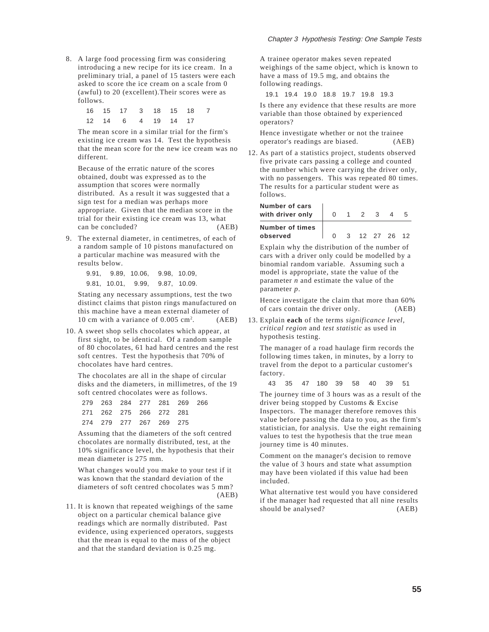8. A large food processing firm was considering introducing a new recipe for its ice cream. In a preliminary trial, a panel of 15 tasters were each asked to score the ice cream on a scale from 0 (awful) to 20 (excellent).Their scores were as follows.

|  | 16  15  17  3  18  15  18  7 |  |  |  |
|--|------------------------------|--|--|--|
|  | 12  14  6  4  19  14  17     |  |  |  |

The mean score in a similar trial for the firm's existing ice cream was 14. Test the hypothesis that the mean score for the new ice cream was no different.

Because of the erratic nature of the scores obtained, doubt was expressed as to the assumption that scores were normally distributed. As a result it was suggested that a sign test for a median was perhaps more appropriate. Given that the median score in the trial for their existing ice cream was 13, what can be concluded? (AEB)

9. The external diameter, in centimetres, of each of a random sample of 10 pistons manufactured on a particular machine was measured with the results below.

> 9.91, 9.89, 10.06, 9.98, 10.09, 9.81, 10.01, 9.99, 9.87, 10.09.

Stating any necessary assumptions, test the two distinct claims that piston rings manufactured on this machine have a mean external diameter of 10 cm with a variance of 0.005 cm2  $(AEB)$ 

10. A sweet shop sells chocolates which appear, at first sight, to be identical. Of a random sample of 80 chocolates, 61 had hard centres and the rest soft centres. Test the hypothesis that 70% of chocolates have hard centres.

The chocolates are all in the shape of circular disks and the diameters, in millimetres, of the 19 soft centred chocolates were as follows.

|  | 279 263 284 277 281 269 266 |  |  |
|--|-----------------------------|--|--|
|  | 271 262 275 266 272 281     |  |  |
|  | 274 279 277 267 269 275     |  |  |

Assuming that the diameters of the soft centred chocolates are normally distributed, test, at the 10% significance level, the hypothesis that their mean diameter is 275 mm.

What changes would you make to your test if it was known that the standard deviation of the diameters of soft centred chocolates was 5 mm?  $(AER)$ 

11. It is known that repeated weighings of the same object on a particular chemical balance give readings which are normally distributed. Past evidence, using experienced operators, suggests that the mean is equal to the mass of the object and that the standard deviation is 0.25 mg.

A trainee operator makes seven repeated weighings of the same object, which is known to have a mass of 19.5 mg, and obtains the following readings.

19.1 19.4 19.0 18.8 19.7 19.8 19.3

Is there any evidence that these results are more variable than those obtained by experienced operators?

Hence investigate whether or not the trainee operator's readings are biased. (AEB)

12. As part of a statistics project, students observed five private cars passing a college and counted the number which were carrying the driver only, with no passengers. This was repeated 80 times. The results for a particular student were as follows.

| Number of cars         |   |  |   |  |
|------------------------|---|--|---|--|
| with driver only       | 0 |  | ર |  |
| <b>Number of times</b> |   |  |   |  |
| observed               |   |  |   |  |

Explain why the distribution of the number of cars with a driver only could be modelled by a binomial random variable. Assuming such a model is appropriate, state the value of the parameter *n* and estimate the value of the parameter *p*.

Hence investigate the claim that more than 60% of cars contain the driver only. (AEB)

13. Explain **each** of the terms *significance level, critical region* and *test statistic* as used in hypothesis testing.

The manager of a road haulage firm records the following times taken, in minutes, by a lorry to travel from the depot to a particular customer's factory.

43 35 47 180 39 58 40 39 51

The journey time of 3 hours was as a result of the driver being stopped by Customs & Excise Inspectors. The manager therefore removes this value before passing the data to you, as the firm's statistician, for analysis. Use the eight remaining values to test the hypothesis that the true mean journey time is 40 minutes.

Comment on the manager's decision to remove the value of 3 hours and state what assumption may have been violated if this value had been included.

What alternative test would you have considered if the manager had requested that all nine results should be analysed? (AEB)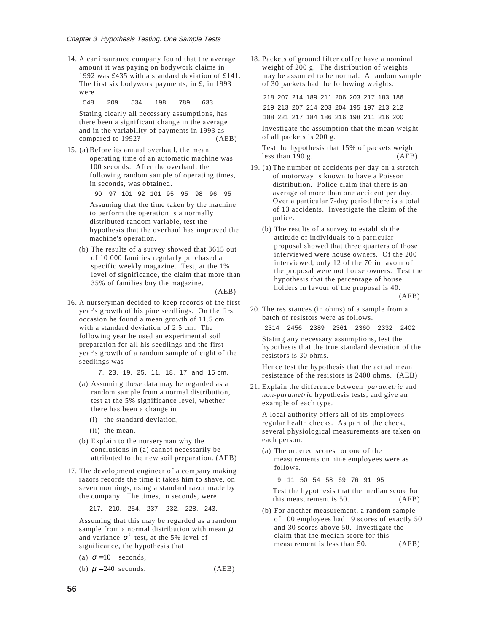14. A car insurance company found that the average amount it was paying on bodywork claims in 1992 was £435 with a standard deviation of £141. The first six bodywork payments, in £, in 1993 were

548 209 534 198 789 633.

Stating clearly all necessary assumptions, has there been a significant change in the average and in the variability of payments in 1993 as compared to 1992? (AEB)

15. (a) Before its annual overhaul, the mean operating time of an automatic machine was 100 seconds. After the overhaul, the following random sample of operating times, in seconds, was obtained.

> 90 97 101 92 101 95 95 98 96 95 Assuming that the time taken by the machine to perform the operation is a normally distributed random variable, test the hypothesis that the overhaul has improved the machine's operation.

(b) The results of a survey showed that 3615 out of 10 000 families regularly purchased a specific weekly magazine. Test, at the 1% level of significance, the claim that more than 35% of families buy the magazine.

(AEB)

16. A nurseryman decided to keep records of the first year's growth of his pine seedlings. On the first occasion he found a mean growth of 11.5 cm with a standard deviation of 2.5 cm. The following year he used an experimental soil preparation for all his seedlings and the first year's growth of a random sample of eight of the seedlings was nder A campo 2014<br>
(A campo 2019)<br>
The were 548 Stati there is 48 Stati there is 48 Stati there is 48 Stati there is 48 Stati there is 1<br>
(a) B o 1 I in A d d n n d h n l c is 2<br>
2 A nu year with follow a seve is 2<br>
(a) a pter A camony<br>A camony The were 548 Stati there is the state of the state of the state of the state of the complex of the d m b of the complex seed (a) A reference seed (a) A reference a complex of the case of the case of

7, 23, 19, 25, 11, 18, 17 and 15 cm.

- (a) Assuming these data may be regarded as a random sample from a normal distribution, test at the 5% significance level, whether there has been a change in
	- (i) the standard deviation,
	- (ii) the mean.
- (b) Explain to the nurseryman why the conclusions in (a) cannot necessarily be attributed to the new soil preparation. (AEB)
- 17. The development engineer of a company making razors records the time it takes him to shave, on seven mornings, using a standard razor made by the company. The times, in seconds, were

217, 210, 254, 237, 232, 228, 243.

Assuming that this may be regarded as a random sample from a normal distribution with mean  $\mu$ and variance  $\sigma^2$  test, at the 5% level of significance, the hypothesis that

- (a)  $\sigma = 10$  seconds,
- (b)  $\mu = 240$  seconds. (AEB)

18. Packets of ground filter coffee have a nominal weight of 200 g. The distribution of weights may be assumed to be normal. A random sample of 30 packets had the following weights.

218 207 214 189 211 206 203 217 183 186 219 213 207 214 203 204 195 197 213 212 188 221 217 184 186 216 198 211 216 200

Investigate the assumption that the mean weight of all packets is 200 g.

Test the hypothesis that 15% of packets weigh less than 190 g. (AEB)

- 19. (a) The number of accidents per day on a stretch of motorway is known to have a Poisson distribution. Police claim that there is an average of more than one accident per day. Over a particular 7-day period there is a total of 13 accidents. Investigate the claim of the police.
	- (b) The results of a survey to establish the attitude of individuals to a particular proposal showed that three quarters of those interviewed were house owners. Of the 200 interviewed, only 12 of the 70 in favour of the proposal were not house owners. Test the hypothesis that the percentage of house holders in favour of the proposal is 40.

(AEB)

20. The resistances (in ohms) of a sample from a batch of resistors were as follows.

2314 2456 2389 2361 2360 2332 2402 Stating any necessary assumptions, test the hypothesis that the true standard deviation of the resistors is 30 ohms.

Hence test the hypothesis that the actual mean resistance of the resistors is 2400 ohms. (AEB)

21. Explain the difference between *parametric* and *non-parametric* hypothesis tests, and give an example of each type.

A local authority offers all of its employees regular health checks. As part of the check, several physiological measurements are taken on each person.

(a) The ordered scores for one of the measurements on nine employees were as follows.

9 11 50 54 58 69 76 91 95

Test the hypothesis that the median score for this measurement is 50. (AEB)

(b) For another measurement, a random sample of 100 employees had 19 scores of exactly 50 and 30 scores above 50. Investigate the claim that the median score for this measurement is less than 50. (AEB)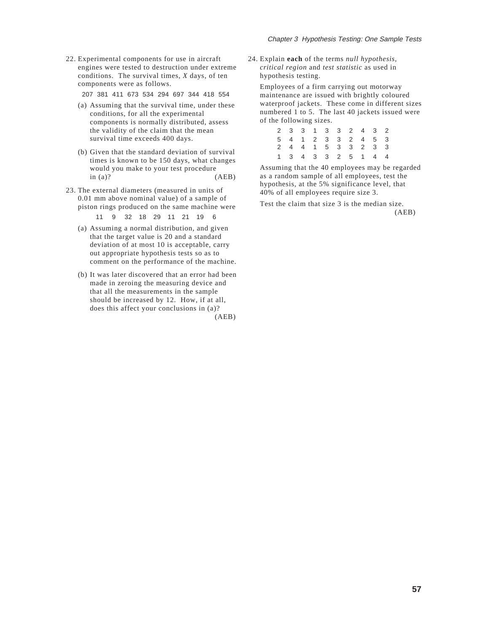22. Experimental components for use in aircraft engines were tested to destruction under extreme conditions. The survival times, *X* days, of ten components were as follows.

207 381 411 673 534 294 697 344 418 554

- (a) Assuming that the survival time, under these conditions, for all the experimental components is normally distributed, assess the validity of the claim that the mean survival time exceeds 400 days.
- (b) Given that the standard deviation of survival times is known to be 150 days, what changes would you make to your test procedure  $\text{in (a)}$ ? (AEB)
- 23. The external diameters (measured in units of 0.01 mm above nominal value) of a sample of piston rings produced on the same machine were

11 9 32 18 29 11 21 19 6

- (a) Assuming a normal distribution, and given that the target value is 20 and a standard deviation of at most 10 is acceptable, carry out appropriate hypothesis tests so as to comment on the performance of the machine.
- (b) It was later discovered that an error had been made in zeroing the measuring device and that all the measurements in the sample should be increased by 12. How, if at all, does this affect your conclusions in (a)?

(AEB)

24. Explain **each** of the terms *null hypothesis*, *critical region* and *test statistic* as used in hypothesis testing.

Employees of a firm carrying out motorway maintenance are issued with brightly coloured waterproof jackets. These come in different sizes numbered 1 to 5. The last 40 jackets issued were of the following sizes.

|  |  |  |  | 2 3 3 1 3 3 2 4 3 2 |  |
|--|--|--|--|---------------------|--|
|  |  |  |  | 5 4 1 2 3 3 2 4 5 3 |  |
|  |  |  |  | 2 4 4 1 5 3 3 2 3 3 |  |
|  |  |  |  | 1 3 4 3 3 2 5 1 4 4 |  |

Assuming that the 40 employees may be regarded as a random sample of all employees, test the hypothesis, at the 5% significance level, that 40% of all employees require size 3.

Test the claim that size 3 is the median size. (AEB)